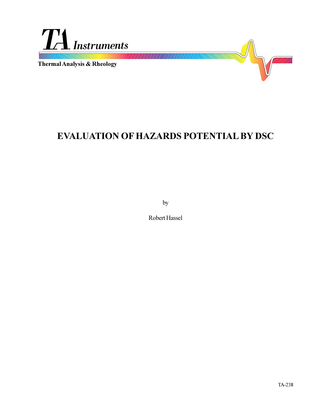

# **EVALUATION OF HAZARDS POTENTIAL BY DSC**

by

Robert Hassel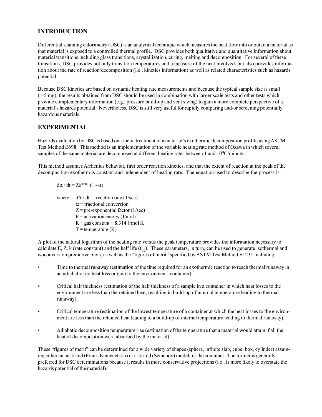## **INTRODUCTION**

Differential scanning calorimetry (DSC) is an analytical technique which measures the heat flow into or out of a material as that material is exposed to a controlled thermal profile. DSC provides both qualitative and quantitative information about material transitions including glass transitions, crystallization, curing, melting and decomposition. For several of these transitions, DSC provides not only transition temperatures and a measure of the heat involved, but also provides information about the rate of reaction/decomposition (i.e., kinetics information) as well as related characteristics such as hazards potential.

Because DSC kinetics are based on dynamic heating rate measurements and because the typical sample size is small (1-5 mg), the results obtained from DSC should be used in combination with larger scale tests and other tests which provide complementary information (e.g., pressure build-up and vent sizing) to gain a more complete perspective of a material's hazards potential. Nevertheless, DSC is still very useful for rapidly comparing and/or screening potentially hazardous materials.

# **EXPERIMENTAL**

Hazards evaluation by DSC is based on kinetic treatment of a material's exothermic decomposition profile using ASTM Test Method E698. This method is an implementation of the variable heating rate method of Ozawa in which several samples of the same material are decomposed at different heating rates between 1 and 10°C/minute.

This method assumes Arrhenius behavior, first order reaction kinetics, and that the extent of reaction at the peak of the decomposition exotherm is constant and independent of heating rate. The equation used to describe the process is:

$$
d\alpha\,/\,dt=Ze^{\text{-E/RT}}\left(1-\alpha\right)
$$

where:  $d\alpha/dt$  = reaction rate (1/sec)  $\alpha$  = fractional conversion  $Z = pre-exponential factor (1/sec)$  $E =$  activation energy (J/mol)  $R = gas constant = 8.314$  J/mol K  $T =$ temperature  $(K)$ 

A plot of the natural logarithm of the heating rate versus the peak temperature provides the information necessary to calculate E, Z, k (rate constant) and the half life  $(t_{1/2})$ . These parameters, in turn, can be used to generate isothermal and isoconversion predictive plots, as well as the "figures of merit" specified by ASTM Test Method E1231 including:

- Time to thermal runaway (estimation of the time required for an exothermic reaction to reach thermal runaway in an adiabatic [no heat loss or gain to the environment] container)
- Critical half thickness (estimation of the half thickness of a sample in a container in which heat losses to the environment are less than the retained heat, resulting in build-up of internal temperature leading to thermal runaway)
- Critical temperature (estimation of the lowest temperature of a container at which the heat losses to the environment are less than the retained heat leading to a build-up of internal temperature leading to thermal runaway)
- Adiabatic decomposition temperature rise (estimation of the temperature that a material would attain if all the heat of decomposition were absorbed by the material)

These "figures of merit" can be determined for a wide variety of shapes (sphere, infinite slab, cube, box, cylinder) assuming either an unstirred (Frank-Kamenetskii) or a stirred (Semenov) model for the container. The former is generally preferred for DSC determinations because it results in more conservative projections (i.e., is more likely to overstate the hazards potential of the material).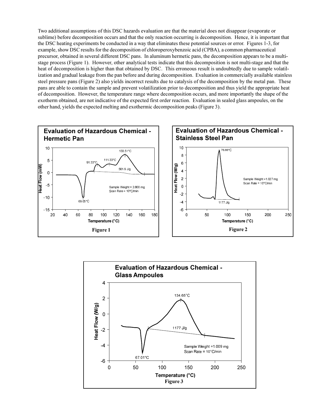Two additional assumptions of this DSC hazards evaluation are that the material does not disappear (evaporate or sublime) before decomposition occurs and that the only reaction occurring is decomposition. Hence, it is important that the DSC heating experiments be conducted in a way that eliminates these potential sources or error. Figures 1-3, for example, show DSC results for the decomposition of chloroperoxybenzoic acid (CPBA), a common pharmaceutical precursor, obtained in several different DSC pans. In aluminum hermetic pans, the decomposition appears to be a multistage process (Figure 1). However, other analytical tests indicate that this decomposition is not multi-stage and that the heat of decomposition is higher than that obtained by DSC. This erroneous result is undoubtedly due to sample volatilization and gradual leakage from the pan before and during decomposition. Evaluation in commercially available stainless steel pressure pans (Figure 2) also yields incorrect results due to catalysis of the decomposition by the metal pan. These pans are able to contain the sample and prevent volatilization prior to decomposition and thus yield the appropriate heat of decomposition. However, the temperature range where decomposition occurs, and more importantly the shape of the exotherm obtained, are not indicative of the expected first order reaction. Evaluation in sealed glass ampoules, on the other hand, yields the expected melting and exothermic decomposition peaks (Figure 3).



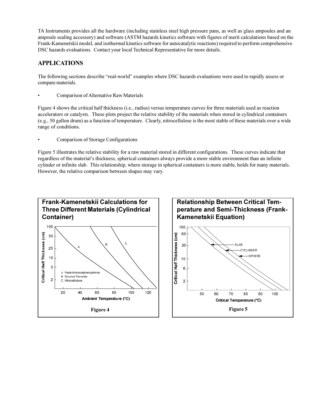TA Instruments provides all the hardware (including stainless steel high pressure pans, as well as glass ampoules and an ampoule sealing accessory) and software (ASTM hazards kinetics software with figures of merit calculations based on the Frank-Kamenetskii model, and isothermal kinetics software for autocatalytic reactions) required to perform comprehensive DSC hazards evaluations. Contact your local Technical Representative for more details.

# **APPLICATIONS**

The following sections describe "real-world" examples where DSC hazards evaluations were used to rapidly assess or compare materials.

Comparison of Alternative Raw Materials

Figure 4 shows the critical half thickness (i.e., radius) versus temperature curves for three materials used as reaction accelerators or catalysts. These plots project the relative stability of the materials when stored in cylindrical containers (e.g., 50 gallon drum) as a function of temperature. Clearly, nitrocellulose is the most stable of these materials over a wide range of conditions.

Comparison of Storage Configurations

Figure 5 illustrates the relative stability for a raw material stored in different configurations. These curves indicate that regardless of the material's thickness, spherical containers always provide a more stable environment than an infinite cylinder or infinite slab. This relationship, where storage in spherical containers is more stable, holds for many materials. However, the relative comparison between shapes may vary.